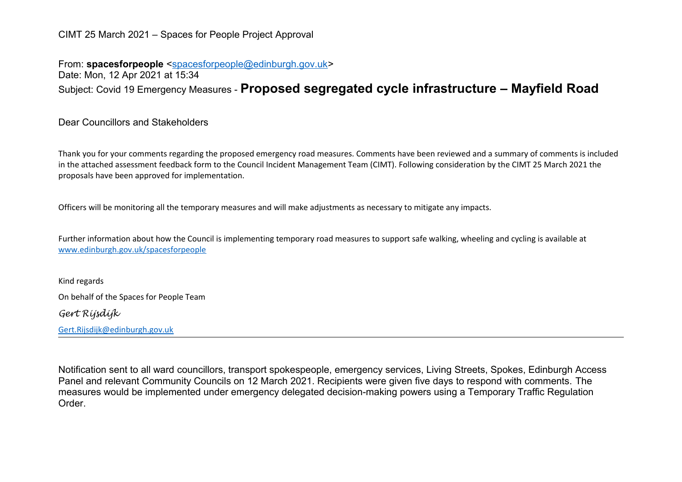## CIMT 25 March 2021 – Spaces for People Project Approval

From: **spacesforpeople** [<spacesforpeople@edinburgh.gov.uk>](mailto:spacesforpeople@edinburgh.gov.uk) Date: Mon, 12 Apr 2021 at 15:34 Subject: Covid 19 Emergency Measures - **Proposed segregated cycle infrastructure – Mayfield Road** 

Dear Councillors and Stakeholders

Thank you for your comments regarding the proposed emergency road measures. Comments have been reviewed and a summary of comments is included in the attached assessment feedback form to the Council Incident Management Team (CIMT). Following consideration by the CIMT 25 March 2021 the proposals have been approved for implementation.

Officers will be monitoring all the temporary measures and will make adjustments as necessary to mitigate any impacts.

Further information about how the Council is implementing temporary road measures to support safe walking, wheeling and cycling is available at [www.edinburgh.gov.uk/spacesforpeople](http://www.edinburgh.gov.uk/spacesforpeople)

Kind regards On behalf of the Spaces for People Team *Gert Rijsdijk*

[Gert.Rijsdijk@edinburgh.gov.uk](mailto:Gert.Rijsdijk@edinburgh.gov.uk)

Notification sent to all ward councillors, transport spokespeople, emergency services, Living Streets, Spokes, Edinburgh Access Panel and relevant Community Councils on 12 March 2021. Recipients were given five days to respond with comments. The measures would be implemented under emergency delegated decision-making powers using a Temporary Traffic Regulation Order.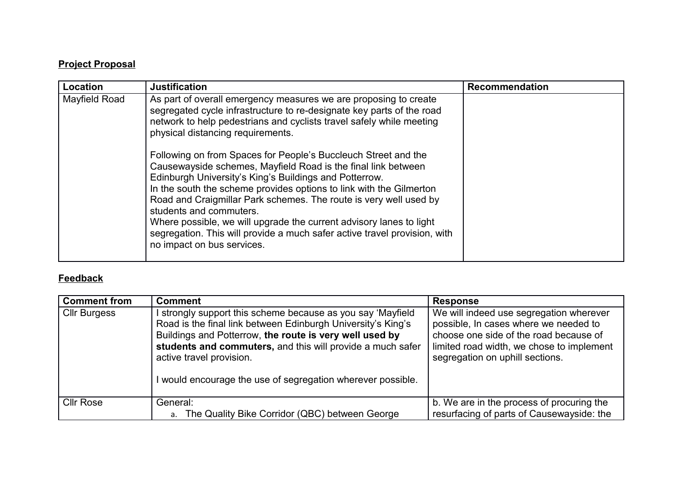## **Project Proposal**

| Location      | <b>Justification</b>                                                                                                                                                                                                                                                                                                                                                                                                                                                                                                                                                                                                                                                                                                                                                                                         | <b>Recommendation</b> |
|---------------|--------------------------------------------------------------------------------------------------------------------------------------------------------------------------------------------------------------------------------------------------------------------------------------------------------------------------------------------------------------------------------------------------------------------------------------------------------------------------------------------------------------------------------------------------------------------------------------------------------------------------------------------------------------------------------------------------------------------------------------------------------------------------------------------------------------|-----------------------|
| Mayfield Road | As part of overall emergency measures we are proposing to create<br>segregated cycle infrastructure to re-designate key parts of the road<br>network to help pedestrians and cyclists travel safely while meeting<br>physical distancing requirements.<br>Following on from Spaces for People's Buccleuch Street and the<br>Causewayside schemes, Mayfield Road is the final link between<br>Edinburgh University's King's Buildings and Potterrow.<br>In the south the scheme provides options to link with the Gilmerton<br>Road and Craigmillar Park schemes. The route is very well used by<br>students and commuters.<br>Where possible, we will upgrade the current advisory lanes to light<br>segregation. This will provide a much safer active travel provision, with<br>no impact on bus services. |                       |

## **Feedback**

| <b>Comment from</b> | <b>Comment</b>                                                                                                                                                                                                                                                                                                                              | <b>Response</b>                                                                                                                                                                                            |
|---------------------|---------------------------------------------------------------------------------------------------------------------------------------------------------------------------------------------------------------------------------------------------------------------------------------------------------------------------------------------|------------------------------------------------------------------------------------------------------------------------------------------------------------------------------------------------------------|
| <b>Cllr Burgess</b> | strongly support this scheme because as you say 'Mayfield<br>Road is the final link between Edinburgh University's King's<br>Buildings and Potterrow, the route is very well used by<br>students and commuters, and this will provide a much safer<br>active travel provision.<br>would encourage the use of segregation wherever possible. | We will indeed use segregation wherever<br>possible, In cases where we needed to<br>choose one side of the road because of<br>limited road width, we chose to implement<br>segregation on uphill sections. |
| <b>Cllr Rose</b>    | General:                                                                                                                                                                                                                                                                                                                                    | b. We are in the process of procuring the                                                                                                                                                                  |
|                     | a. The Quality Bike Corridor (QBC) between George                                                                                                                                                                                                                                                                                           | resurfacing of parts of Causewayside: the                                                                                                                                                                  |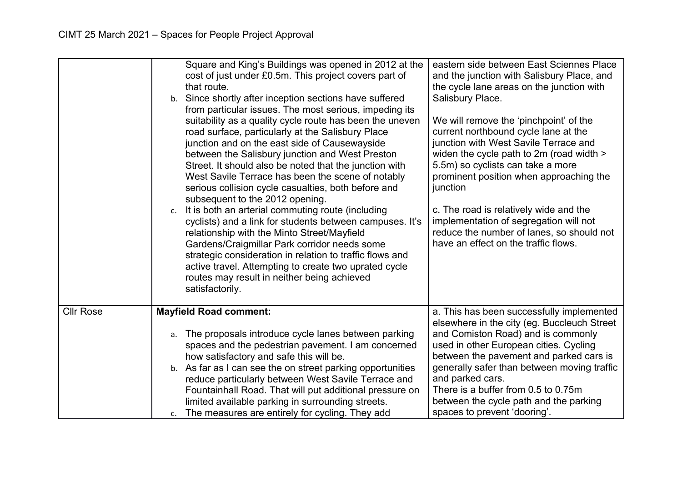|                  | Square and King's Buildings was opened in 2012 at the<br>cost of just under £0.5m. This project covers part of<br>that route.<br>b. Since shortly after inception sections have suffered<br>from particular issues. The most serious, impeding its<br>suitability as a quality cycle route has been the uneven<br>road surface, particularly at the Salisbury Place<br>junction and on the east side of Causewayside<br>between the Salisbury junction and West Preston<br>Street. It should also be noted that the junction with<br>West Savile Terrace has been the scene of notably<br>serious collision cycle casualties, both before and<br>subsequent to the 2012 opening.<br>It is both an arterial commuting route (including<br>c.<br>cyclists) and a link for students between campuses. It's<br>relationship with the Minto Street/Mayfield<br>Gardens/Craigmillar Park corridor needs some<br>strategic consideration in relation to traffic flows and<br>active travel. Attempting to create two uprated cycle<br>routes may result in neither being achieved<br>satisfactorily. | eastern side between East Sciennes Place<br>and the junction with Salisbury Place, and<br>the cycle lane areas on the junction with<br>Salisbury Place.<br>We will remove the 'pinchpoint' of the<br>current northbound cycle lane at the<br>junction with West Savile Terrace and<br>widen the cycle path to 2m (road width ><br>5.5m) so cyclists can take a more<br>prominent position when approaching the<br>junction<br>c. The road is relatively wide and the<br>implementation of segregation will not<br>reduce the number of lanes, so should not<br>have an effect on the traffic flows. |
|------------------|-----------------------------------------------------------------------------------------------------------------------------------------------------------------------------------------------------------------------------------------------------------------------------------------------------------------------------------------------------------------------------------------------------------------------------------------------------------------------------------------------------------------------------------------------------------------------------------------------------------------------------------------------------------------------------------------------------------------------------------------------------------------------------------------------------------------------------------------------------------------------------------------------------------------------------------------------------------------------------------------------------------------------------------------------------------------------------------------------|-----------------------------------------------------------------------------------------------------------------------------------------------------------------------------------------------------------------------------------------------------------------------------------------------------------------------------------------------------------------------------------------------------------------------------------------------------------------------------------------------------------------------------------------------------------------------------------------------------|
| <b>Cllr Rose</b> | <b>Mayfield Road comment:</b><br>The proposals introduce cycle lanes between parking<br>а.<br>spaces and the pedestrian pavement. I am concerned<br>how satisfactory and safe this will be.                                                                                                                                                                                                                                                                                                                                                                                                                                                                                                                                                                                                                                                                                                                                                                                                                                                                                                   | a. This has been successfully implemented<br>elsewhere in the city (eg. Buccleuch Street<br>and Comiston Road) and is commonly<br>used in other European cities. Cycling<br>between the pavement and parked cars is                                                                                                                                                                                                                                                                                                                                                                                 |
|                  | b. As far as I can see the on street parking opportunities<br>reduce particularly between West Savile Terrace and<br>Fountainhall Road. That will put additional pressure on<br>limited available parking in surrounding streets.<br>The measures are entirely for cycling. They add<br>c.                                                                                                                                                                                                                                                                                                                                                                                                                                                                                                                                                                                                                                                                                                                                                                                                    | generally safer than between moving traffic<br>and parked cars.<br>There is a buffer from 0.5 to 0.75m<br>between the cycle path and the parking<br>spaces to prevent 'dooring'.                                                                                                                                                                                                                                                                                                                                                                                                                    |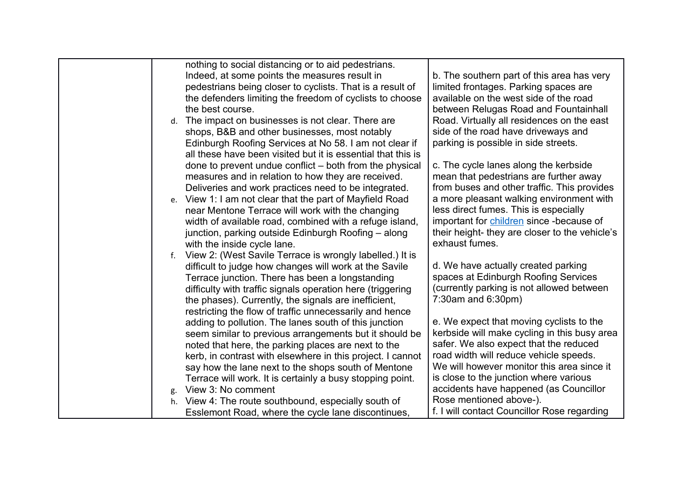<span id="page-3-0"></span>

|    | nothing to social distancing or to aid pedestrians.          |                                               |
|----|--------------------------------------------------------------|-----------------------------------------------|
|    | Indeed, at some points the measures result in                | b. The southern part of this area has very    |
|    | pedestrians being closer to cyclists. That is a result of    | limited frontages. Parking spaces are         |
|    | the defenders limiting the freedom of cyclists to choose     | available on the west side of the road        |
|    | the best course.                                             | between Relugas Road and Fountainhall         |
| d. | The impact on businesses is not clear. There are             | Road. Virtually all residences on the east    |
|    | shops, B&B and other businesses, most notably                | side of the road have driveways and           |
|    | Edinburgh Roofing Services at No 58. I am not clear if       | parking is possible in side streets.          |
|    | all these have been visited but it is essential that this is |                                               |
|    | done to prevent undue conflict – both from the physical      | c. The cycle lanes along the kerbside         |
|    | measures and in relation to how they are received.           | mean that pedestrians are further away        |
|    | Deliveries and work practices need to be integrated.         | from buses and other traffic. This provides   |
|    | e. View 1: I am not clear that the part of Mayfield Road     | a more pleasant walking environment with      |
|    | near Mentone Terrace will work with the changing             | less direct fumes. This is especially         |
|    | width of available road, combined with a refuge island,      | important for children since -because of      |
|    | junction, parking outside Edinburgh Roofing – along          | their height-they are closer to the vehicle's |
|    | with the inside cycle lane.                                  | exhaust fumes.                                |
| f. | View 2: (West Savile Terrace is wrongly labelled.) It is     |                                               |
|    | difficult to judge how changes will work at the Savile       | d. We have actually created parking           |
|    | Terrace junction. There has been a longstanding              | spaces at Edinburgh Roofing Services          |
|    | difficulty with traffic signals operation here (triggering   | (currently parking is not allowed between     |
|    | the phases). Currently, the signals are inefficient,         | $7:30$ am and $6:30$ pm)                      |
|    | restricting the flow of traffic unnecessarily and hence      |                                               |
|    | adding to pollution. The lanes south of this junction        | e. We expect that moving cyclists to the      |
|    | seem similar to previous arrangements but it should be       | kerbside will make cycling in this busy area  |
|    | noted that here, the parking places are next to the          | safer. We also expect that the reduced        |
|    | kerb, in contrast with elsewhere in this project. I cannot   | road width will reduce vehicle speeds.        |
|    | say how the lane next to the shops south of Mentone          | We will however monitor this area since it    |
|    | Terrace will work. It is certainly a busy stopping point.    | is close to the junction where various        |
|    | View 3: No comment                                           | accidents have happened (as Councillor        |
| h. | View 4: The route southbound, especially south of            | Rose mentioned above-).                       |
|    | Esslemont Road, where the cycle lane discontinues,           | f. I will contact Councillor Rose regarding   |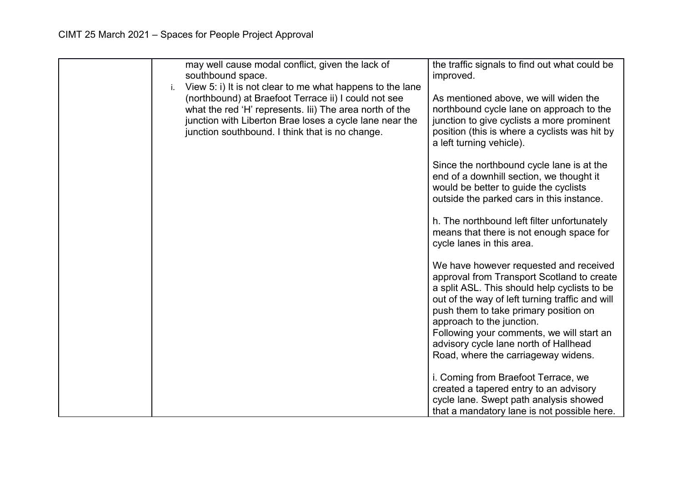| i. | may well cause modal conflict, given the lack of<br>southbound space.<br>View 5: i) It is not clear to me what happens to the lane                                                                                            | the traffic signals to find out what could be<br>improved.                                                                                                                                                                                                                                                                                                                                 |
|----|-------------------------------------------------------------------------------------------------------------------------------------------------------------------------------------------------------------------------------|--------------------------------------------------------------------------------------------------------------------------------------------------------------------------------------------------------------------------------------------------------------------------------------------------------------------------------------------------------------------------------------------|
|    | (northbound) at Braefoot Terrace ii) I could not see<br>what the red 'H' represents. Iii) The area north of the<br>junction with Liberton Brae loses a cycle lane near the<br>junction southbound. I think that is no change. | As mentioned above, we will widen the<br>northbound cycle lane on approach to the<br>junction to give cyclists a more prominent<br>position (this is where a cyclists was hit by<br>a left turning vehicle).                                                                                                                                                                               |
|    |                                                                                                                                                                                                                               | Since the northbound cycle lane is at the<br>end of a downhill section, we thought it<br>would be better to guide the cyclists<br>outside the parked cars in this instance.                                                                                                                                                                                                                |
|    |                                                                                                                                                                                                                               | h. The northbound left filter unfortunately<br>means that there is not enough space for<br>cycle lanes in this area.                                                                                                                                                                                                                                                                       |
|    |                                                                                                                                                                                                                               | We have however requested and received<br>approval from Transport Scotland to create<br>a split ASL. This should help cyclists to be<br>out of the way of left turning traffic and will<br>push them to take primary position on<br>approach to the junction.<br>Following your comments, we will start an<br>advisory cycle lane north of Hallhead<br>Road, where the carriageway widens. |
|    |                                                                                                                                                                                                                               | i. Coming from Braefoot Terrace, we<br>created a tapered entry to an advisory<br>cycle lane. Swept path analysis showed<br>that a mandatory lane is not possible here.                                                                                                                                                                                                                     |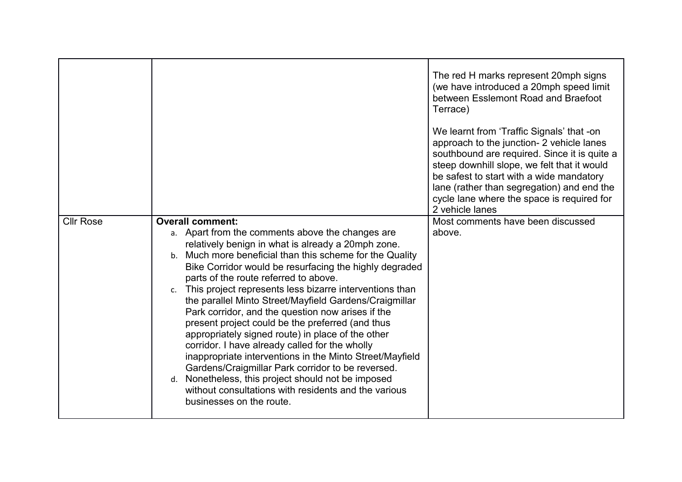|                  |                                                                                                                                                                                                                                                                                                                                                                                                                                                                                                                                                                                                                                                                                                                                                                                                                                                                                                                    | The red H marks represent 20mph signs<br>(we have introduced a 20mph speed limit<br>between Esslemont Road and Braefoot<br>Terrace)<br>We learnt from 'Traffic Signals' that -on<br>approach to the junction- 2 vehicle lanes<br>southbound are required. Since it is quite a<br>steep downhill slope, we felt that it would<br>be safest to start with a wide mandatory<br>lane (rather than segregation) and end the<br>cycle lane where the space is required for<br>2 vehicle lanes |
|------------------|--------------------------------------------------------------------------------------------------------------------------------------------------------------------------------------------------------------------------------------------------------------------------------------------------------------------------------------------------------------------------------------------------------------------------------------------------------------------------------------------------------------------------------------------------------------------------------------------------------------------------------------------------------------------------------------------------------------------------------------------------------------------------------------------------------------------------------------------------------------------------------------------------------------------|-----------------------------------------------------------------------------------------------------------------------------------------------------------------------------------------------------------------------------------------------------------------------------------------------------------------------------------------------------------------------------------------------------------------------------------------------------------------------------------------|
| <b>Cllr Rose</b> | <b>Overall comment:</b><br>a. Apart from the comments above the changes are<br>relatively benign in what is already a 20mph zone.<br>b. Much more beneficial than this scheme for the Quality<br>Bike Corridor would be resurfacing the highly degraded<br>parts of the route referred to above.<br>This project represents less bizarre interventions than<br>$c_{\cdot}$<br>the parallel Minto Street/Mayfield Gardens/Craigmillar<br>Park corridor, and the question now arises if the<br>present project could be the preferred (and thus<br>appropriately signed route) in place of the other<br>corridor. I have already called for the wholly<br>inappropriate interventions in the Minto Street/Mayfield<br>Gardens/Craigmillar Park corridor to be reversed.<br>Nonetheless, this project should not be imposed<br>d.<br>without consultations with residents and the various<br>businesses on the route. | Most comments have been discussed<br>above.                                                                                                                                                                                                                                                                                                                                                                                                                                             |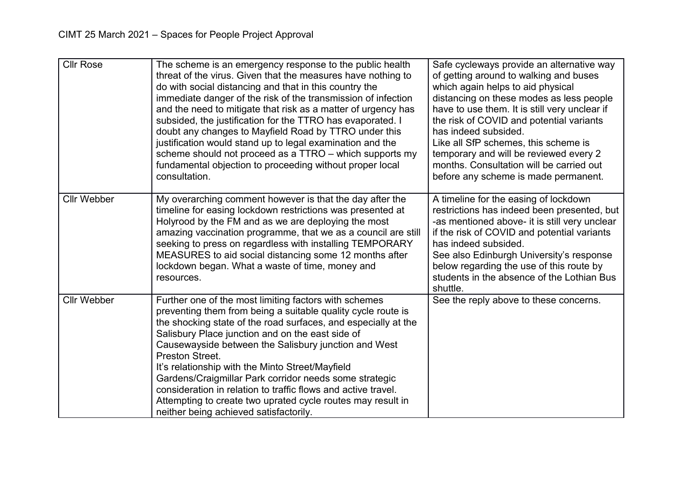| <b>Cllr Rose</b>   | The scheme is an emergency response to the public health<br>threat of the virus. Given that the measures have nothing to<br>do with social distancing and that in this country the<br>immediate danger of the risk of the transmission of infection<br>and the need to mitigate that risk as a matter of urgency has<br>subsided, the justification for the TTRO has evaporated. I<br>doubt any changes to Mayfield Road by TTRO under this<br>justification would stand up to legal examination and the<br>scheme should not proceed as a TTRO - which supports my<br>fundamental objection to proceeding without proper local<br>consultation. | Safe cycleways provide an alternative way<br>of getting around to walking and buses<br>which again helps to aid physical<br>distancing on these modes as less people<br>have to use them. It is still very unclear if<br>the risk of COVID and potential variants<br>has indeed subsided.<br>Like all SfP schemes, this scheme is<br>temporary and will be reviewed every 2<br>months. Consultation will be carried out<br>before any scheme is made permanent. |
|--------------------|--------------------------------------------------------------------------------------------------------------------------------------------------------------------------------------------------------------------------------------------------------------------------------------------------------------------------------------------------------------------------------------------------------------------------------------------------------------------------------------------------------------------------------------------------------------------------------------------------------------------------------------------------|-----------------------------------------------------------------------------------------------------------------------------------------------------------------------------------------------------------------------------------------------------------------------------------------------------------------------------------------------------------------------------------------------------------------------------------------------------------------|
| <b>Cllr Webber</b> | My overarching comment however is that the day after the<br>timeline for easing lockdown restrictions was presented at<br>Holyrood by the FM and as we are deploying the most<br>amazing vaccination programme, that we as a council are still<br>seeking to press on regardless with installing TEMPORARY<br>MEASURES to aid social distancing some 12 months after<br>lockdown began. What a waste of time, money and<br>resources.                                                                                                                                                                                                            | A timeline for the easing of lockdown<br>restrictions has indeed been presented, but<br>-as mentioned above- it is still very unclear<br>if the risk of COVID and potential variants<br>has indeed subsided.<br>See also Edinburgh University's response<br>below regarding the use of this route by<br>students in the absence of the Lothian Bus<br>shuttle.                                                                                                  |
| <b>Cllr Webber</b> | Further one of the most limiting factors with schemes<br>preventing them from being a suitable quality cycle route is<br>the shocking state of the road surfaces, and especially at the<br>Salisbury Place junction and on the east side of<br>Causewayside between the Salisbury junction and West<br>Preston Street.<br>It's relationship with the Minto Street/Mayfield<br>Gardens/Craigmillar Park corridor needs some strategic<br>consideration in relation to traffic flows and active travel.<br>Attempting to create two uprated cycle routes may result in<br>neither being achieved satisfactorily.                                   | See the reply above to these concerns.                                                                                                                                                                                                                                                                                                                                                                                                                          |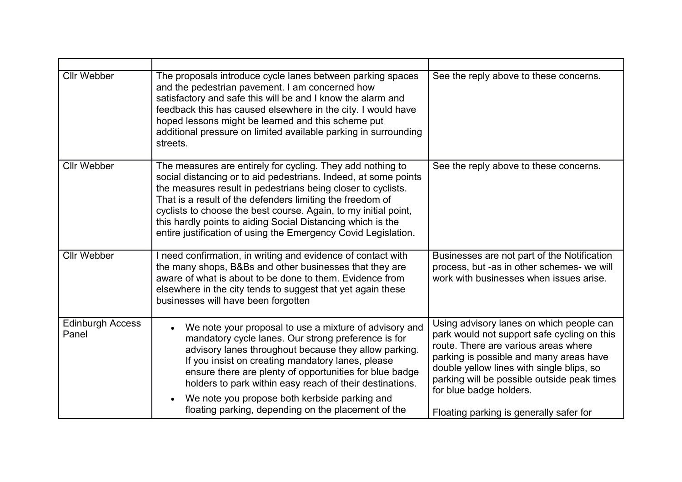| <b>Cllr Webber</b>               | The proposals introduce cycle lanes between parking spaces<br>and the pedestrian pavement. I am concerned how<br>satisfactory and safe this will be and I know the alarm and<br>feedback this has caused elsewhere in the city. I would have<br>hoped lessons might be learned and this scheme put<br>additional pressure on limited available parking in surrounding<br>streets.                                                                              | See the reply above to these concerns.                                                                                                                                                                                                                                                                                                       |
|----------------------------------|----------------------------------------------------------------------------------------------------------------------------------------------------------------------------------------------------------------------------------------------------------------------------------------------------------------------------------------------------------------------------------------------------------------------------------------------------------------|----------------------------------------------------------------------------------------------------------------------------------------------------------------------------------------------------------------------------------------------------------------------------------------------------------------------------------------------|
| <b>Cllr Webber</b>               | The measures are entirely for cycling. They add nothing to<br>social distancing or to aid pedestrians. Indeed, at some points<br>the measures result in pedestrians being closer to cyclists.<br>That is a result of the defenders limiting the freedom of<br>cyclists to choose the best course. Again, to my initial point,<br>this hardly points to aiding Social Distancing which is the<br>entire justification of using the Emergency Covid Legislation. | See the reply above to these concerns.                                                                                                                                                                                                                                                                                                       |
| <b>Cllr Webber</b>               | I need confirmation, in writing and evidence of contact with<br>the many shops, B&Bs and other businesses that they are<br>aware of what is about to be done to them. Evidence from<br>elsewhere in the city tends to suggest that yet again these<br>businesses will have been forgotten                                                                                                                                                                      | Businesses are not part of the Notification<br>process, but -as in other schemes- we will<br>work with businesses when issues arise.                                                                                                                                                                                                         |
| <b>Edinburgh Access</b><br>Panel | We note your proposal to use a mixture of advisory and<br>mandatory cycle lanes. Our strong preference is for<br>advisory lanes throughout because they allow parking.<br>If you insist on creating mandatory lanes, please<br>ensure there are plenty of opportunities for blue badge<br>holders to park within easy reach of their destinations.<br>We note you propose both kerbside parking and<br>floating parking, depending on the placement of the     | Using advisory lanes on which people can<br>park would not support safe cycling on this<br>route. There are various areas where<br>parking is possible and many areas have<br>double yellow lines with single blips, so<br>parking will be possible outside peak times<br>for blue badge holders.<br>Floating parking is generally safer for |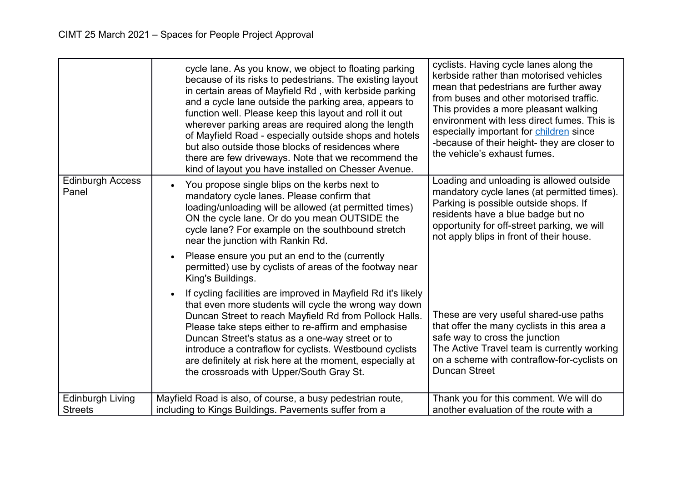<span id="page-8-0"></span>

|                                           | cycle lane. As you know, we object to floating parking<br>because of its risks to pedestrians. The existing layout<br>in certain areas of Mayfield Rd, with kerbside parking<br>and a cycle lane outside the parking area, appears to<br>function well. Please keep this layout and roll it out<br>wherever parking areas are required along the length<br>of Mayfield Road - especially outside shops and hotels<br>but also outside those blocks of residences where<br>there are few driveways. Note that we recommend the<br>kind of layout you have installed on Chesser Avenue. | cyclists. Having cycle lanes along the<br>kerbside rather than motorised vehicles<br>mean that pedestrians are further away<br>from buses and other motorised traffic.<br>This provides a more pleasant walking<br>environment with less direct fumes. This is<br>especially important for children since<br>-because of their height- they are closer to<br>the vehicle's exhaust fumes. |
|-------------------------------------------|---------------------------------------------------------------------------------------------------------------------------------------------------------------------------------------------------------------------------------------------------------------------------------------------------------------------------------------------------------------------------------------------------------------------------------------------------------------------------------------------------------------------------------------------------------------------------------------|-------------------------------------------------------------------------------------------------------------------------------------------------------------------------------------------------------------------------------------------------------------------------------------------------------------------------------------------------------------------------------------------|
| <b>Edinburgh Access</b><br>Panel          | You propose single blips on the kerbs next to<br>mandatory cycle lanes. Please confirm that<br>loading/unloading will be allowed (at permitted times)<br>ON the cycle lane. Or do you mean OUTSIDE the<br>cycle lane? For example on the southbound stretch<br>near the junction with Rankin Rd.                                                                                                                                                                                                                                                                                      | Loading and unloading is allowed outside<br>mandatory cycle lanes (at permitted times).<br>Parking is possible outside shops. If<br>residents have a blue badge but no<br>opportunity for off-street parking, we will<br>not apply blips in front of their house.                                                                                                                         |
|                                           | Please ensure you put an end to the (currently<br>permitted) use by cyclists of areas of the footway near<br>King's Buildings.                                                                                                                                                                                                                                                                                                                                                                                                                                                        |                                                                                                                                                                                                                                                                                                                                                                                           |
|                                           | If cycling facilities are improved in Mayfield Rd it's likely<br>that even more students will cycle the wrong way down<br>Duncan Street to reach Mayfield Rd from Pollock Halls.<br>Please take steps either to re-affirm and emphasise<br>Duncan Street's status as a one-way street or to<br>introduce a contraflow for cyclists. Westbound cyclists<br>are definitely at risk here at the moment, especially at<br>the crossroads with Upper/South Gray St.                                                                                                                        | These are very useful shared-use paths<br>that offer the many cyclists in this area a<br>safe way to cross the junction<br>The Active Travel team is currently working<br>on a scheme with contraflow-for-cyclists on<br><b>Duncan Street</b>                                                                                                                                             |
| <b>Edinburgh Living</b><br><b>Streets</b> | Mayfield Road is also, of course, a busy pedestrian route,<br>including to Kings Buildings. Pavements suffer from a                                                                                                                                                                                                                                                                                                                                                                                                                                                                   | Thank you for this comment. We will do<br>another evaluation of the route with a                                                                                                                                                                                                                                                                                                          |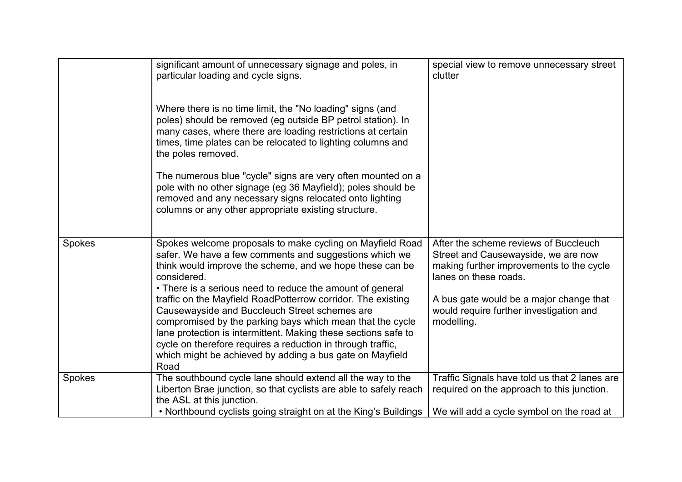|        | significant amount of unnecessary signage and poles, in<br>particular loading and cycle signs.                                                                                                                                                                                                                                                                                  | special view to remove unnecessary street<br>clutter                                                                                              |
|--------|---------------------------------------------------------------------------------------------------------------------------------------------------------------------------------------------------------------------------------------------------------------------------------------------------------------------------------------------------------------------------------|---------------------------------------------------------------------------------------------------------------------------------------------------|
|        | Where there is no time limit, the "No loading" signs (and<br>poles) should be removed (eg outside BP petrol station). In<br>many cases, where there are loading restrictions at certain<br>times, time plates can be relocated to lighting columns and<br>the poles removed.                                                                                                    |                                                                                                                                                   |
|        | The numerous blue "cycle" signs are very often mounted on a<br>pole with no other signage (eg 36 Mayfield); poles should be<br>removed and any necessary signs relocated onto lighting<br>columns or any other appropriate existing structure.                                                                                                                                  |                                                                                                                                                   |
| Spokes | Spokes welcome proposals to make cycling on Mayfield Road<br>safer. We have a few comments and suggestions which we<br>think would improve the scheme, and we hope these can be<br>considered.<br>• There is a serious need to reduce the amount of general                                                                                                                     | After the scheme reviews of Buccleuch<br>Street and Causewayside, we are now<br>making further improvements to the cycle<br>lanes on these roads. |
|        | traffic on the Mayfield RoadPotterrow corridor. The existing<br>Causewayside and Buccleuch Street schemes are<br>compromised by the parking bays which mean that the cycle<br>lane protection is intermittent. Making these sections safe to<br>cycle on therefore requires a reduction in through traffic,<br>which might be achieved by adding a bus gate on Mayfield<br>Road | A bus gate would be a major change that<br>would require further investigation and<br>modelling.                                                  |
| Spokes | The southbound cycle lane should extend all the way to the<br>Liberton Brae junction, so that cyclists are able to safely reach<br>the ASL at this junction.<br>• Northbound cyclists going straight on at the King's Buildings                                                                                                                                                 | Traffic Signals have told us that 2 lanes are<br>required on the approach to this junction.<br>We will add a cycle symbol on the road at          |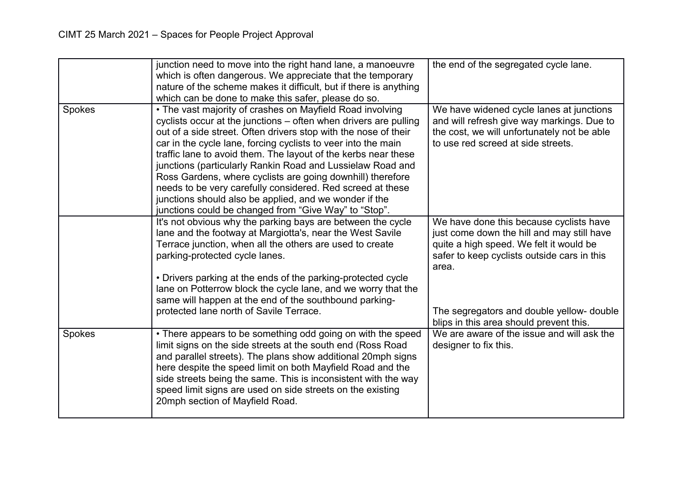|        | junction need to move into the right hand lane, a manoeuvre<br>which is often dangerous. We appreciate that the temporary<br>nature of the scheme makes it difficult, but if there is anything<br>which can be done to make this safer, please do so.                                                                                                                                                                                                                                                                                                                                                                                            | the end of the segregated cycle lane.                                                                                                                                                                                                 |
|--------|--------------------------------------------------------------------------------------------------------------------------------------------------------------------------------------------------------------------------------------------------------------------------------------------------------------------------------------------------------------------------------------------------------------------------------------------------------------------------------------------------------------------------------------------------------------------------------------------------------------------------------------------------|---------------------------------------------------------------------------------------------------------------------------------------------------------------------------------------------------------------------------------------|
| Spokes | • The vast majority of crashes on Mayfield Road involving<br>cyclists occur at the junctions - often when drivers are pulling<br>out of a side street. Often drivers stop with the nose of their<br>car in the cycle lane, forcing cyclists to veer into the main<br>traffic lane to avoid them. The layout of the kerbs near these<br>junctions (particularly Rankin Road and Lussielaw Road and<br>Ross Gardens, where cyclists are going downhill) therefore<br>needs to be very carefully considered. Red screed at these<br>junctions should also be applied, and we wonder if the<br>junctions could be changed from "Give Way" to "Stop". | We have widened cycle lanes at junctions<br>and will refresh give way markings. Due to<br>the cost, we will unfortunately not be able<br>to use red screed at side streets.                                                           |
|        | It's not obvious why the parking bays are between the cycle<br>lane and the footway at Margiotta's, near the West Savile<br>Terrace junction, when all the others are used to create<br>parking-protected cycle lanes.<br>• Drivers parking at the ends of the parking-protected cycle<br>lane on Potterrow block the cycle lane, and we worry that the<br>same will happen at the end of the southbound parking-<br>protected lane north of Savile Terrace.                                                                                                                                                                                     | We have done this because cyclists have<br>just come down the hill and may still have<br>quite a high speed. We felt it would be<br>safer to keep cyclists outside cars in this<br>area.<br>The segregators and double yellow- double |
| Spokes | • There appears to be something odd going on with the speed<br>limit signs on the side streets at the south end (Ross Road<br>and parallel streets). The plans show additional 20mph signs<br>here despite the speed limit on both Mayfield Road and the<br>side streets being the same. This is inconsistent with the way<br>speed limit signs are used on side streets on the existing<br>20mph section of Mayfield Road.                                                                                                                                                                                                                      | blips in this area should prevent this.<br>We are aware of the issue and will ask the<br>designer to fix this.                                                                                                                        |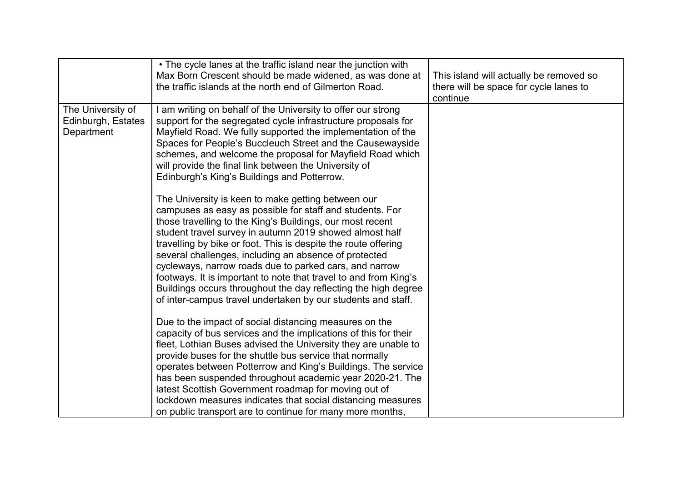|                                                       | • The cycle lanes at the traffic island near the junction with<br>Max Born Crescent should be made widened, as was done at<br>the traffic islands at the north end of Gilmerton Road.                                                                                                                                                                                                                                                                                                                                                                                                                                             | This island will actually be removed so<br>there will be space for cycle lanes to<br>continue |
|-------------------------------------------------------|-----------------------------------------------------------------------------------------------------------------------------------------------------------------------------------------------------------------------------------------------------------------------------------------------------------------------------------------------------------------------------------------------------------------------------------------------------------------------------------------------------------------------------------------------------------------------------------------------------------------------------------|-----------------------------------------------------------------------------------------------|
| The University of<br>Edinburgh, Estates<br>Department | I am writing on behalf of the University to offer our strong<br>support for the segregated cycle infrastructure proposals for<br>Mayfield Road. We fully supported the implementation of the<br>Spaces for People's Buccleuch Street and the Causewayside<br>schemes, and welcome the proposal for Mayfield Road which<br>will provide the final link between the University of<br>Edinburgh's King's Buildings and Potterrow.                                                                                                                                                                                                    |                                                                                               |
|                                                       | The University is keen to make getting between our<br>campuses as easy as possible for staff and students. For<br>those travelling to the King's Buildings, our most recent<br>student travel survey in autumn 2019 showed almost half<br>travelling by bike or foot. This is despite the route offering<br>several challenges, including an absence of protected<br>cycleways, narrow roads due to parked cars, and narrow<br>footways. It is important to note that travel to and from King's<br>Buildings occurs throughout the day reflecting the high degree<br>of inter-campus travel undertaken by our students and staff. |                                                                                               |
|                                                       | Due to the impact of social distancing measures on the<br>capacity of bus services and the implications of this for their<br>fleet, Lothian Buses advised the University they are unable to<br>provide buses for the shuttle bus service that normally<br>operates between Potterrow and King's Buildings. The service<br>has been suspended throughout academic year 2020-21. The<br>latest Scottish Government roadmap for moving out of<br>lockdown measures indicates that social distancing measures<br>on public transport are to continue for many more months,                                                            |                                                                                               |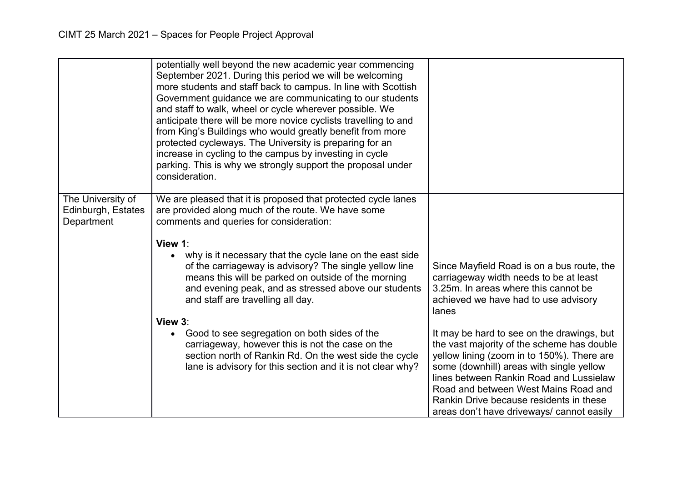|                                                       | potentially well beyond the new academic year commencing<br>September 2021. During this period we will be welcoming<br>more students and staff back to campus. In line with Scottish<br>Government guidance we are communicating to our students<br>and staff to walk, wheel or cycle wherever possible. We<br>anticipate there will be more novice cyclists travelling to and<br>from King's Buildings who would greatly benefit from more<br>protected cycleways. The University is preparing for an<br>increase in cycling to the campus by investing in cycle<br>parking. This is why we strongly support the proposal under<br>consideration. |                                                                                                                                                                                                                                                                                                                                                               |
|-------------------------------------------------------|----------------------------------------------------------------------------------------------------------------------------------------------------------------------------------------------------------------------------------------------------------------------------------------------------------------------------------------------------------------------------------------------------------------------------------------------------------------------------------------------------------------------------------------------------------------------------------------------------------------------------------------------------|---------------------------------------------------------------------------------------------------------------------------------------------------------------------------------------------------------------------------------------------------------------------------------------------------------------------------------------------------------------|
| The University of<br>Edinburgh, Estates<br>Department | We are pleased that it is proposed that protected cycle lanes<br>are provided along much of the route. We have some<br>comments and queries for consideration:<br>View 1:<br>why is it necessary that the cycle lane on the east side<br>of the carriageway is advisory? The single yellow line<br>means this will be parked on outside of the morning<br>and evening peak, and as stressed above our students<br>and staff are travelling all day.<br>View 3:                                                                                                                                                                                     | Since Mayfield Road is on a bus route, the<br>carriageway width needs to be at least<br>3.25m. In areas where this cannot be<br>achieved we have had to use advisory<br>lanes                                                                                                                                                                                 |
|                                                       | Good to see segregation on both sides of the<br>$\bullet$<br>carriageway, however this is not the case on the<br>section north of Rankin Rd. On the west side the cycle<br>lane is advisory for this section and it is not clear why?                                                                                                                                                                                                                                                                                                                                                                                                              | It may be hard to see on the drawings, but<br>the vast majority of the scheme has double<br>yellow lining (zoom in to 150%). There are<br>some (downhill) areas with single yellow<br>lines between Rankin Road and Lussielaw<br>Road and between West Mains Road and<br>Rankin Drive because residents in these<br>areas don't have driveways/ cannot easily |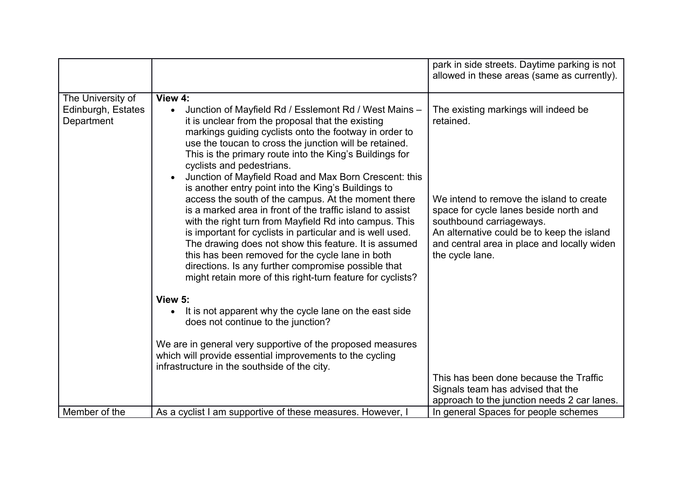|                                                       |                                                                                                                                                                                                                                                                                                                                                                                                                                                                                                                                                                                                                                                                                                                                                                                                                                                                                                                                             | park in side streets. Daytime parking is not<br>allowed in these areas (same as currently).                                                                                                                                                                                         |
|-------------------------------------------------------|---------------------------------------------------------------------------------------------------------------------------------------------------------------------------------------------------------------------------------------------------------------------------------------------------------------------------------------------------------------------------------------------------------------------------------------------------------------------------------------------------------------------------------------------------------------------------------------------------------------------------------------------------------------------------------------------------------------------------------------------------------------------------------------------------------------------------------------------------------------------------------------------------------------------------------------------|-------------------------------------------------------------------------------------------------------------------------------------------------------------------------------------------------------------------------------------------------------------------------------------|
| The University of<br>Edinburgh, Estates<br>Department | View 4:<br>Junction of Mayfield Rd / Esslemont Rd / West Mains -<br>$\bullet$<br>it is unclear from the proposal that the existing<br>markings guiding cyclists onto the footway in order to<br>use the toucan to cross the junction will be retained.<br>This is the primary route into the King's Buildings for<br>cyclists and pedestrians.<br>Junction of Mayfield Road and Max Born Crescent: this<br>is another entry point into the King's Buildings to<br>access the south of the campus. At the moment there<br>is a marked area in front of the traffic island to assist<br>with the right turn from Mayfield Rd into campus. This<br>is important for cyclists in particular and is well used.<br>The drawing does not show this feature. It is assumed<br>this has been removed for the cycle lane in both<br>directions. Is any further compromise possible that<br>might retain more of this right-turn feature for cyclists? | The existing markings will indeed be<br>retained.<br>We intend to remove the island to create<br>space for cycle lanes beside north and<br>southbound carriageways.<br>An alternative could be to keep the island<br>and central area in place and locally widen<br>the cycle lane. |
| Member of the                                         | View 5:<br>It is not apparent why the cycle lane on the east side<br>does not continue to the junction?<br>We are in general very supportive of the proposed measures<br>which will provide essential improvements to the cycling<br>infrastructure in the southside of the city.                                                                                                                                                                                                                                                                                                                                                                                                                                                                                                                                                                                                                                                           | This has been done because the Traffic<br>Signals team has advised that the<br>approach to the junction needs 2 car lanes.                                                                                                                                                          |
|                                                       | As a cyclist I am supportive of these measures. However, I                                                                                                                                                                                                                                                                                                                                                                                                                                                                                                                                                                                                                                                                                                                                                                                                                                                                                  | In general Spaces for people schemes                                                                                                                                                                                                                                                |